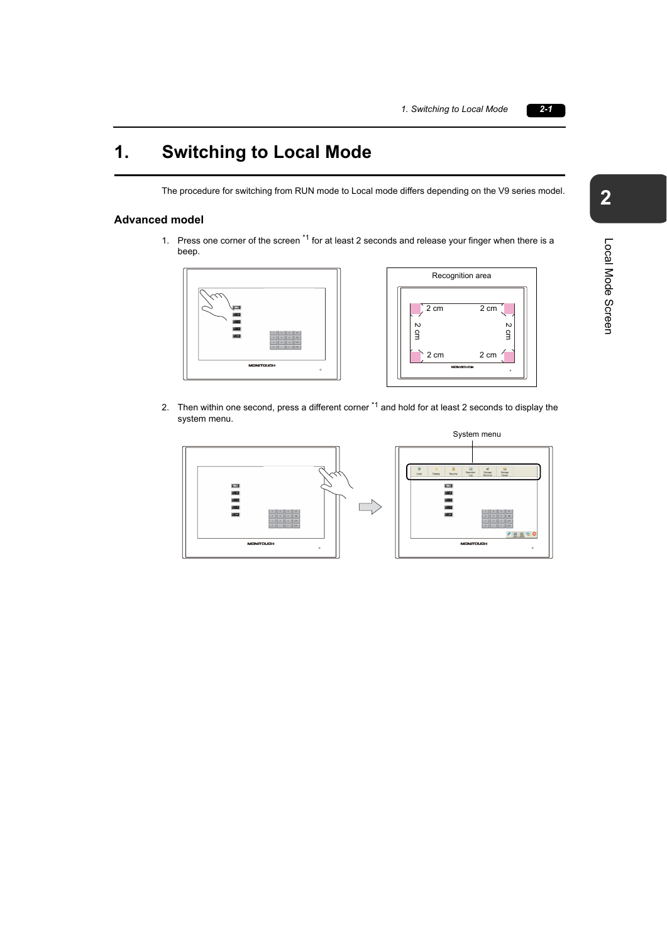## **1. Switching to Local Mode**

The procedure for switching from RUN mode to Local mode differs depending on the V9 series model.

## **Advanced model**

1. Press one corner of the screen \*1 for at least 2 seconds and release your finger when there is a beep.





2. Then within one second, press a different corner <sup>\*1</sup> and hold for at least 2 seconds to display the system menu.



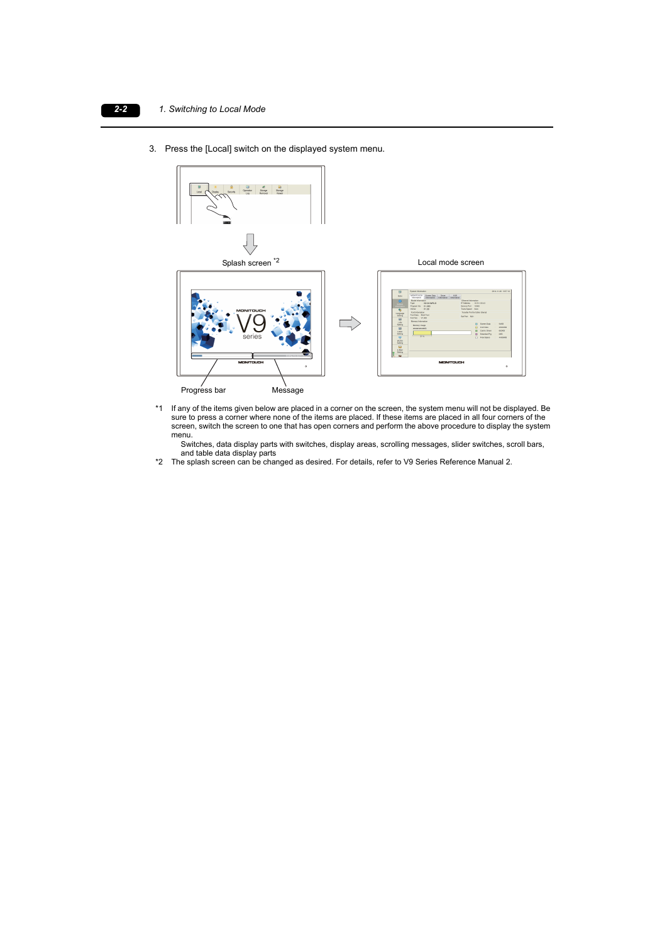3. Press the [Local] switch on the displayed system menu.



\*1 If any of the items given below are placed in a corner on the screen, the system menu will not be displayed. Be sure to press a corner where none of the items are placed. If these items are placed in all four corners of the screen, switch the screen to one that has open corners and perform the above procedure to display the system menu.

Switches, data display parts with switches, display areas, scrolling messages, slider switches, scroll bars, and table data display parts

\*2 The splash screen can be changed as desired. For details, refer to V9 Series Reference Manual 2.